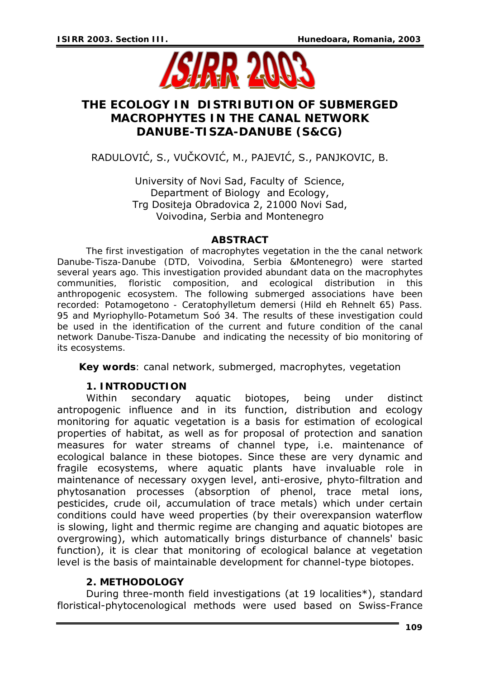

# **THE ECOLOGY IN DISTRIBUTION OF SUBMERGED MACROPHYTES IN THE CANAL NETWORK DANUBE-TISZA-DANUBE (S&CG)**

RADULOVIĆ, S., VUČKOVIĆ, M., PAJEVIĆ, S., PANJKOVIC, B.

University of Novi Sad, Faculty of Science, Department of Biology and Ecology, Trg Dositeja Obradovica 2, 21000 Novi Sad, Voivodina, Serbia and Montenegro

### *ABSTRACT*

*The first investigation of macrophytes vegetation in the the canal network Danube-Tisza-Danube (DTD, Voivodina, Serbia &Montenegro) were started several years ago. This investigation provided abundant data on the macrophytes communities, floristic composition, and ecological distribution in this anthropogenic ecosystem. The following submerged associations have been recorded: Potamogetono - Ceratophylletum demersi (Hild eh Rehnelt 65) Pass. 95 and Myriophyllo-Potametum Soó 34. The results of these investigation could*  be used in the identification of the current and future condition of the canal *network Danube-Tisza-Danube and indicating the necessity of bio monitoring of its ecosystems.* 

*Key words: canal network, submerged, macrophytes, vegetation*

## **1. INTRODUCTION**

Within secondary aquatic biotopes, being under distinct antropogenic influence and in its function, distribution and ecology monitoring for aquatic vegetation is a basis for estimation of ecological properties of habitat, as well as for proposal of protection and sanation measures for water streams of channel type, i.e. maintenance of ecological balance in these biotopes. Since these are very dynamic and fragile ecosystems, where aquatic plants have invaluable role in maintenance of necessary oxygen level, anti-erosive, phyto-filtration and phytosanation processes (absorption of phenol, trace metal ions, pesticides, crude oil, accumulation of trace metals) which under certain conditions could have weed properties (by their overexpansion waterflow is slowing, light and thermic regime are changing and aquatic biotopes are overgrowing), which automatically brings disturbance of channels' basic function), it is clear that monitoring of ecological balance at vegetation level is the basis of maintainable development for channel-type biotopes.

## **2. METHODOLOGY**

During three-month field investigations (at 19 localities\*), standard floristical-phytocenological methods were used based on Swiss-France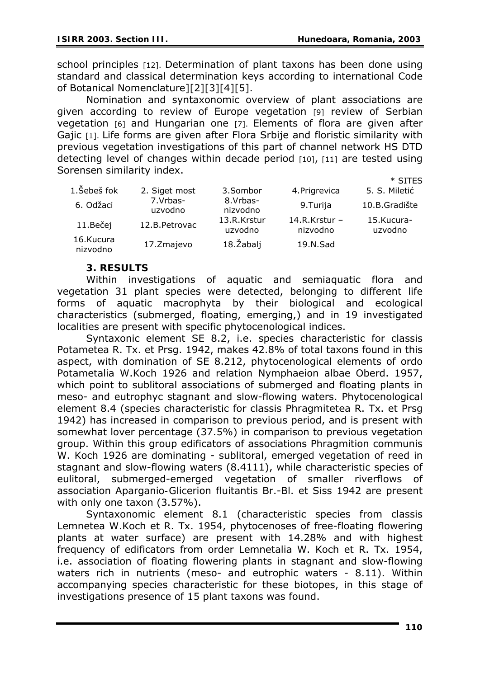school principles [12]. Determination of plant taxons has been done using standard and classical determination keys according to international Code of Botanical Nomenclature][2][3][4][5].

Nomination and syntaxonomic overview of plant associations are given according to review of Europe vegetation [9] review of Serbian vegetation [6] and Hungarian one [7]. Elements of flora are given after Gajic [1]. Life forms are given after Flora Srbije and floristic similarity with previous vegetation investigations of this part of channel network HS DTD detecting level of changes within decade period [10], [11] are tested using Sorensen similarity index.  $*$  CITEC

|                       |                     |                        |                             | ் அட்டவ               |
|-----------------------|---------------------|------------------------|-----------------------------|-----------------------|
| 1.Šebeš fok           | 2. Siget most       | 3.Sombor               | 4. Prigrevica               | 5. S. Miletić         |
| 6. Odžaci             | 7.Vrbas-<br>uzvodno | 8.Vrbas-<br>nizvodno   | 9.Turija                    | 10.B.Gradište         |
| 11.Bečej              | 12.B. Petrovac      | 13.R.Krstur<br>uzvodno | $14.R.Krstur -$<br>nizvodno | 15.Kucura-<br>uzvodno |
| 16.Kucura<br>nizvodno | 17. Zmajevo         | 18. Žabalj             | 19.N.Sad                    |                       |

## **3. RESULTS**

Within investigations of aquatic and semiaquatic flora and vegetation 31 plant species were detected, belonging to different life forms of aquatic macrophyta by their biological and ecological characteristics (submerged, floating, emerging,) and in 19 investigated localities are present with specific phytocenological indices.

Syntaxonic element SE 8.2, i.e. species characteristic for classis *Potametea* R. Tx. et Prsg. 1942, makes 42.8% of total taxons found in this aspect, with domination of SE 8.212, phytocenological elements of ordo *Potametalia* W.Koch 1926 and relation *Nymphaeion albae* Oberd. 1957, which point to sublitoral associations of submerged and floating plants in meso- and eutrophyc stagnant and slow-flowing waters. Phytocenological element 8.4 (species characteristic for classis *Phragmitetea* R. Tx. et Prsg 1942) has increased in comparison to previous period, and is present with somewhat lover percentage (37.5%) in comparison to previous vegetation group. Within this group edificators of associations *Phragmition communis* W. Koch 1926 are dominating - sublitoral, emerged vegetation of reed in stagnant and slow-flowing waters (8.4111), while characteristic species of eulitoral, submerged-emerged vegetation of smaller riverflows of association *Aparganio-Glicerion fluitantis* Br.-Bl. et Siss 1942 are present with only one taxon (3.57%).

Syntaxonomic element 8.1 (characteristic species from classis *Lemnetea* W.Koch et R. Tx. 1954, phytocenoses of free-floating flowering plants at water surface) are present with 14.28% and with highest frequency of edificators from order *Lemnetalia* W. Koch et R. Tx. 1954, i.e. association of floating flowering plants in stagnant and slow-flowing waters rich in nutrients (meso- and eutrophic waters - 8.11). Within accompanying species characteristic for these biotopes, in this stage of investigations presence of 15 plant taxons was found.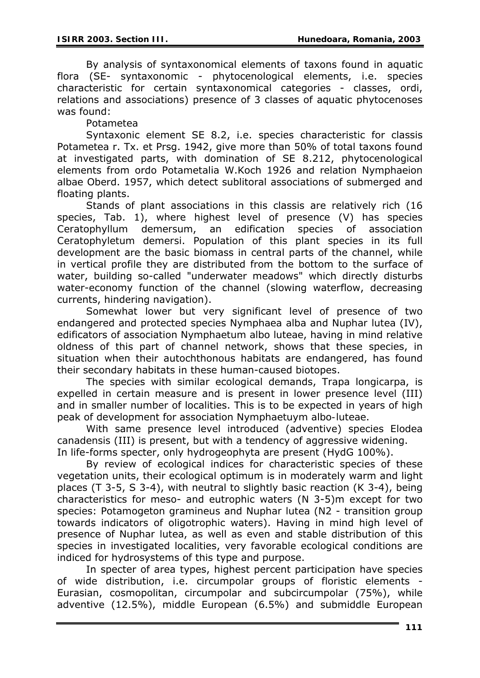By analysis of syntaxonomical elements of taxons found in aquatic flora (SE- syntaxonomic - phytocenological elements, i.e. species characteristic for certain syntaxonomical categories - classes, ordi, relations and associations) presence of 3 classes of aquatic phytocenoses was found:

*Potametea* 

Syntaxonic element SE 8.2, i.e. species characteristic for classis *Potametea* r. Tx. et Prsg. 1942, give more than 50% of total taxons found at investigated parts, with domination of SE 8.212, phytocenological elements from ordo *Potametalia* W.Koch 1926 and relation *Nymphaeion albae* Oberd. 1957, which detect sublitoral associations of submerged and floating plants.

Stands of plant associations in this classis are relatively rich (16 species, Tab. 1), where highest level of presence (V) has species *Ceratophyllum demersum*, an edification species of association *Ceratophyletum demersi*. Population of this plant species in its full development are the basic biomass in central parts of the channel, while in vertical profile they are distributed from the bottom to the surface of water, building so-called "underwater meadows" which directly disturbs water-economy function of the channel (slowing waterflow, decreasing currents, hindering navigation).

Somewhat lower but very significant level of presence of two endangered and protected species *Nymphaea alba* and *Nuphar lutea* (IV), edificators of association *Nymphaetum albo luteae*, having in mind relative oldness of this part of channel network, shows that these species, in situation when their autochthonous habitats are endangered, has found their secondary habitats in these human-caused biotopes.

The species with similar ecological demands, *Trapa longicarpa*, is expelled in certain measure and is present in lower presence level (III) and in smaller number of localities. This is to be expected in years of high peak of development for association *Nymphaetuym albo-luteae*.

With same presence level introduced (adventive) species *Elodea canadensis* (III) is present, but with a tendency of aggressive widening. In life-forms specter, only hydrogeophyta are present (HydG 100%).

By review of ecological indices for characteristic species of these vegetation units, their ecological optimum is in moderately warm and light places (T 3-5, S 3-4), with neutral to slightly basic reaction (K 3-4), being characteristics for meso- and eutrophic waters (N 3-5)m except for two species: *Potamogeton gramineus* and *Nuphar lutea* (N2 - transition group towards indicators of oligotrophic waters). Having in mind high level of presence of *Nuphar lutea*, as well as even and stable distribution of this species in investigated localities, very favorable ecological conditions are indiced for hydrosystems of this type and purpose.

In specter of area types, highest percent participation have species of wide distribution, i.e. circumpolar groups of floristic elements - Eurasian, cosmopolitan, circumpolar and subcircumpolar (75%), while adventive (12.5%), middle European (6.5%) and submiddle European